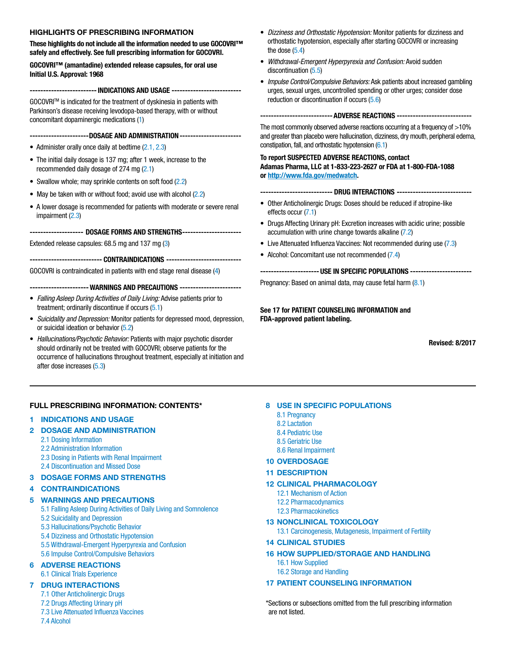# HIGHLIGHTS OF PRESCRIBING INFORMATION

These highlights do not include all the information needed to use GOCOVRI™ safely and effectively. See full prescribing information for GOCOVRI.

GOCOVRI™ (amantadine) extended release capsules, for oral use Initial U.S. Approval: 1968

-------------------------INDICATIONS AND USAGE --------------------------

GOCOVRITM is indicated for the treatment of dyskinesia in patients with Parkinson's disease receiving levodopa-based therapy, with or without concomitant dopaminergic medications [\(1](#page-1-0))

----------------------DOSAGE AND ADMINISTRATION-----------------------

- Administer orally once daily at bedtime [\(2.1, 2.3](#page-1-0))
- The initial daily dosage is 137 mg; after 1 week, increase to the recommended daily dosage of 274 mg ([2.1](#page-1-0))
- Swallow whole; may sprinkle contents on soft food [\(2.2\)](#page-1-0)
- May be taken with or without food; avoid use with alcohol [\(2.2\)](#page-1-0)
- A lower dosage is recommended for patients with moderate or severe renal impairment [\(2.3\)](#page-1-0)

-------------------- DOSAGE FORMS AND STRENGTHS----------------------

Extended release capsules: 68.5 mg and 137 mg [\(3](#page-1-0))

--------------------------- CONTRAINDICATIONS ----------------------------

GOCOVRI is contraindicated in patients with end stage renal disease [\(4](#page-1-0))

---------------------- WARNINGS AND PRECAUTIONS -----------------------

- *Falling Asleep During Activities of Daily Living:* Advise patients prior to treatment; ordinarily discontinue if occurs ([5.1](#page-1-0))
- *Suicidality and Depression:* Monitor patients for depressed mood, depression, or suicidal ideation or behavior ([5.2](#page-2-0))
- *Hallucinations/Psychotic Behavior:* Patients with major psychotic disorder should ordinarily not be treated with GOCOVRI; observe patients for the occurrence of hallucinations throughout treatment, especially at initiation and after dose increases ([5.3](#page-2-0))

# FULL PRESCRIBING INFORMATION: CONTENTS\*

# 1 [INDICATIONS AND USAGE](#page-1-0)

- [2 DOSAGE AND ADMINISTRATION](#page-1-0)
	- [2.1 Dosing Information](#page-1-0)
	- [2.2 Administration Information](#page-1-0)
	- [2.3 Dosing in Patients with Renal Impairment](#page-1-0)
	- [2.4 Discontinuation and Missed Dose](#page-1-0)

# 3 [DOSAGE FORMS AND STRENGTHS](#page-1-0)

# 4 [CONTRAINDICATIONS](#page-1-0)

# [5 WARNINGS AND PRECAUTIONS](#page-1-0)

- [5.1 Falling Asleep During Activities of Daily Living and Somnolence](#page-1-0)
- [5.2 Suicidality and Depression](#page-2-0)
- [5.3 Hallucinations/Psychotic Behavior](#page-2-0)
- [5.4 Dizziness and Orthostatic Hypotension](#page-2-0)
- [5.5 Withdrawal-Emergent Hyperpyrexia and Confusion](#page-2-0)
- [5.6 Impulse Control/Compulsive Behaviors](#page-2-0)

# [6 ADVERSE REACTIONS](#page-2-0)

[6.1 Clinical Trials Experience](#page-2-0) 

# [7 DRUG INTERACTIONS](#page-4-0)

- [7.1 Other Anticholinergic Drugs](#page-4-0) [7.2 Drugs Affecting Urinary pH](#page-4-0)
- [7.3 Live Attenuated Influenza Vaccines](#page-4-0)
- [7.4 Alcohol](#page-4-0)
- *Dizziness and Orthostatic Hypotension:* Monitor patients for dizziness and orthostatic hypotension, especially after starting GOCOVRI or increasing the dose  $(5.4)$  $(5.4)$  $(5.4)$
- *Withdrawal-Emergent Hyperpyrexia and Confusion:* Avoid sudden discontinuation [\(5.5\)](#page-2-0)
- *Impulse Control/Compulsive Behaviors:* Ask patients about increased gambling urges, sexual urges, uncontrolled spending or other urges; consider dose reduction or discontinuation if occurs [\(5.6\)](#page-2-0)

# ---------------------------ADVERSE REACTIONS ----------------------------

The most commonly observed adverse reactions occurring at a frequency of >10% and greater than placebo were hallucination, dizziness, dry mouth, peripheral edema, constipation, fall, and orthostatic hypotension ([6.1](#page-2-0))

#### To report SUSPECTED ADVERSE REACTIONS, contact Adamas Pharma, LLC at 1-833-223-2627 or FDA at 1-800-FDA-1088 or<http://www.fda.gov/medwatch>.

------------------- DRUG INTERACTIONS -----------------------------

- Other Anticholinergic Drugs: Doses should be reduced if atropine-like effects occur [\(7.1\)](#page-4-0)
- Drugs Affecting Urinary pH: Excretion increases with acidic urine; possible accumulation with urine change towards alkaline [\(7.2\)](#page-4-0)
- Live Attenuated Influenza Vaccines: Not recommended during use [\(7.3\)](#page-4-0)
- Alcohol: Concomitant use not recommended [\(7.4\)](#page-4-0)

----------------------USE IN SPECIFIC POPULATIONS -----------------------

Pregnancy: Based on animal data, may cause fetal harm [\(8.1\)](#page-4-0)

See 17 for PATIENT COUNSELING INFORMATION and FDA-approved patient labeling.

Revised: 8/2017

- [8 USE IN SPECIFIC POPULATIONS](#page-4-0)
	- [8.1 Pregnancy](#page-4-0)
	- [8.2 Lactation](#page-5-0)
	- [8.4 Pediatric Use](#page-5-0)
	- [8.5 Geriatric Use](#page-5-0)
	- [8.6 Renal Impairment](#page-5-0)
- 10 [OVERDOSAGE](#page-5-0)
- 11 [DESCRIPTION](#page-5-0)
- [12 CLINICAL PHARMACOLOGY](#page-6-0)
	- [12.1 Mechanism of Action](#page-6-0) [12.2 Pharmacodynamics](#page-6-0)
	- [12.3 Pharmacokinetics](#page-6-0)
	-
- [13 NONCLINICAL TOXICOLOGY](#page-7-0) [13.1 Carcinogenesis, Mutagenesis, Impairment of Fertility](#page-7-0)
- [14 CLINICAL STUDIES](#page-7-0)
- [16 HOW SUPPLIED/STORAGE AND HANDLING](#page-8-0)
	- [16.1 How Supplied](#page-8-0)
	- [16.2 Storage and Handling](#page-8-0)

# [17 PATIENT COUNSELING INFORMATION](#page-8-0)

\*Sections or subsections omitted from the full prescribing information are not listed.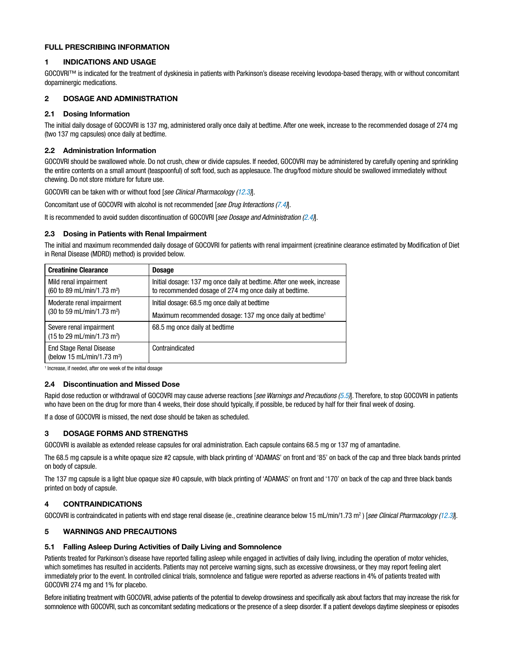# <span id="page-1-0"></span>FULL PRESCRIBING INFORMATION

# 1 INDICATIONS AND USAGE

GOCOVRI™ is indicated for the treatment of dyskinesia in patients with Parkinson's disease receiving levodopa-based therapy, with or without concomitant dopaminergic medications.

# 2 DOSAGE AND ADMINISTRATION

# 2.1 Dosing Information

The initial daily dosage of GOCOVRI is 137 mg, administered orally once daily at bedtime. After one week, increase to the recommended dosage of 274 mg (two 137 mg capsules) once daily at bedtime.

# 2.2 Administration Information

GOCOVRI should be swallowed whole. Do not crush, chew or divide capsules. If needed, GOCOVRI may be administered by carefully opening and sprinkling the entire contents on a small amount (teaspoonful) of soft food, such as applesauce. The drug/food mixture should be swallowed immediately without chewing. Do not store mixture for future use.

GOCOVRI can be taken with or without food [*see Clinical Pharmacology ([12.3](#page-6-0))*].

Concomitant use of GOCOVRI with alcohol is not recommended [*see Drug Interactions [\(7.4\)](#page-4-0)*].

It is recommended to avoid sudden discontinuation of GOCOVRI [*see Dosage and Administration (2.4)*].

# 2.3 Dosing in Patients with Renal Impairment

The initial and maximum recommended daily dosage of GOCOVRI for patients with renal impairment (creatinine clearance estimated by Modification of Diet in Renal Disease (MDRD) method) is provided below.

| <b>Creatinine Clearance</b>                                                        | <b>Dosage</b>                                                                                                                    |  |
|------------------------------------------------------------------------------------|----------------------------------------------------------------------------------------------------------------------------------|--|
| Mild renal impairment<br>(60 to 89 mL/min/1.73 m <sup>2</sup> )                    | Initial dosage: 137 mg once daily at bedtime. After one week, increase<br>to recommended dosage of 274 mg once daily at bedtime. |  |
| Moderate renal impairment<br>$(30 \text{ to } 59 \text{ mL/min}/1.73 \text{ m}^2)$ | Initial dosage: 68.5 mg once daily at bedtime                                                                                    |  |
|                                                                                    | Maximum recommended dosage: 137 mg once daily at bedtime <sup>1</sup>                                                            |  |
| Severe renal impairment<br>$(15 \text{ to } 29 \text{ mL/min}/1.73 \text{ m}^2)$   | 68.5 mg once daily at bedtime                                                                                                    |  |
| <b>End Stage Renal Disease</b><br>(below 15 mL/min/1.73 m <sup>2</sup> )           | Contraindicated                                                                                                                  |  |

<sup>1</sup> Increase, if needed, after one week of the initial dosage

#### 2.4 Discontinuation and Missed Dose

Rapid dose reduction or withdrawal of GOCOVRI may cause adverse reactions [*see Warnings and Precautions [\(5.5\)](#page-2-0)*]. Therefore, to stop GOCOVRI in patients who have been on the drug for more than 4 weeks, their dose should typically, if possible, be reduced by half for their final week of dosing.

If a dose of GOCOVRI is missed, the next dose should be taken as scheduled.

# 3 DOSAGE FORMS AND STRENGTHS

GOCOVRI is available as extended release capsules for oral administration. Each capsule contains 68.5 mg or 137 mg of amantadine.

The 68.5 mg capsule is a white opaque size #2 capsule, with black printing of 'ADAMAS' on front and '85' on back of the cap and three black bands printed on body of capsule.

The 137 mg capsule is a light blue opaque size #0 capsule, with black printing of 'ADAMAS' on front and '170' on back of the cap and three black bands printed on body of capsule.

# 4 CONTRAINDICATIONS

GOCOVRI is contraindicated in patients with end stage renal disease (ie., creatinine clearance below 15 mL/min/1.73 m2 ) [*see Clinical Pharmacology [\(12.3\)](#page-6-0)*].

# 5 WARNINGS AND PRECAUTIONS

#### 5.1 Falling Asleep During Activities of Daily Living and Somnolence

Patients treated for Parkinson's disease have reported falling asleep while engaged in activities of daily living, including the operation of motor vehicles, which sometimes has resulted in accidents. Patients may not perceive warning signs, such as excessive drowsiness, or they may report feeling alert immediately prior to the event. In controlled clinical trials, somnolence and fatigue were reported as adverse reactions in 4% of patients treated with GOCOVRI 274 mg and 1% for placebo.

Before initiating treatment with GOCOVRI, advise patients of the potential to develop drowsiness and specifically ask about factors that may increase the risk for somnolence with GOCOVRI, such as concomitant sedating medications or the presence of a sleep disorder. If a patient develops daytime sleepiness or episodes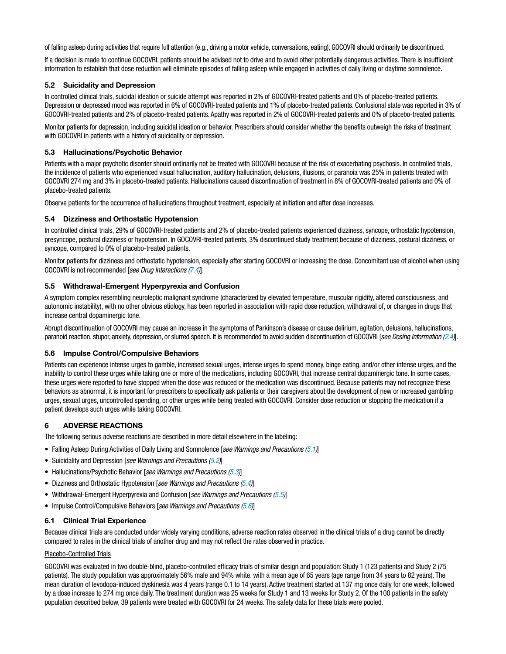<span id="page-2-0"></span>of falling asleep during activities that require full attention (e.g., driving a motor vehicle, conversations, eating), GOCOVRI should ordinarily be discontinued.

If a decision is made to continue GOCOVRI, patients should be advised not to drive and to avoid other potentially dangerous activities. There is insufficient information to establish that dose reduction will eliminate episodes of falling asleep while engaged in activities of daily living or daytime somnolence.

# 5.2 Suicidality and Depression

In controlled clinical trials, suicidal ideation or suicide attempt was reported in 2% of GOCOVRI-treated patients and 0% of placebo-treated patients. Depression or depressed mood was reported in 6% of GOCOVRI-treated patients and 1% of placebo-treated patients. Confusional state was reported in 3% of GOCOVRI-treated patients and 2% of placebo-treated patients. Apathy was reported in 2% of GOCOVRI-treated patients and 0% of placebo-treated patients.

Monitor patients for depression, including suicidal ideation or behavior. Prescribers should consider whether the benefits outweigh the risks of treatment with GOCOVRI in patients with a history of suicidality or depression.

# 5.3 Hallucinations/Psychotic Behavior

Patients with a major psychotic disorder should ordinarily not be treated with GOCOVRI because of the risk of exacerbating psychosis. In controlled trials, the incidence of patients who experienced visual hallucination, auditory hallucination, delusions, illusions, or paranoia was 25% in patients treated with GOCOVRI 274 mg and 3% in placebo-treated patients. Hallucinations caused discontinuation of treatment in 8% of GOCOVRI-treated patients and 0% of placebo-treated patients.

Observe patients for the occurrence of hallucinations throughout treatment, especially at initiation and after dose increases.

# 5.4 Dizziness and Orthostatic Hypotension

In controlled clinical trials, 29% of GOCOVRI-treated patients and 2% of placebo-treated patients experienced dizziness, syncope, orthostatic hypotension, presyncope, postural dizziness or hypotension. In GOCOVRI-treated patients, 3% discontinued study treatment because of dizziness, postural dizziness, or syncope, compared to 0% of placebo-treated patients.

Monitor patients for dizziness and orthostatic hypotension, especially after starting GOCOVRI or increasing the dose. Concomitant use of alcohol when using GOCOVRI is not recommended [*see Drug Interactions ([7.4](#page-4-0))*].

#### 5.5 Withdrawal-Emergent Hyperpyrexia and Confusion

A symptom complex resembling neuroleptic malignant syndrome (characterized by elevated temperature, muscular rigidity, altered consciousness, and autonomic instability), with no other obvious etiology, has been reported in association with rapid dose reduction, withdrawal of, or changes in drugs that increase central dopaminergic tone.

Abrupt discontinuation of GOCOVRI may cause an increase in the symptoms of Parkinson's disease or cause delirium, agitation, delusions, hallucinations, paranoid reaction, stupor, anxiety, depression, or slurred speech. It is recommended to avoid sudden discontinuation of GOCOVRI [*see Dosing Information [\(2.4](#page-1-0))*].

#### 5.6 Impulse Control/Compulsive Behaviors

Patients can experience intense urges to gamble, increased sexual urges, intense urges to spend money, binge eating, and/or other intense urges, and the inability to control these urges while taking one or more of the medications, including GOCOVRI, that increase central dopaminergic tone. In some cases, these urges were reported to have stopped when the dose was reduced or the medication was discontinued. Because patients may not recognize these behaviors as abnormal, it is important for prescribers to specifically ask patients or their caregivers about the development of new or increased gambling urges, sexual urges, uncontrolled spending, or other urges while being treated with GOCOVRI. Consider dose reduction or stopping the medication if a patient develops such urges while taking GOCOVRI.

# 6 ADVERSE REACTIONS

The following serious adverse reactions are described in more detail elsewhere in the labeling:

- Falling Asleep During Activities of Daily Living and Somnolence [*see Warnings and Precautions [\(5.1\)](#page-1-0)*]
- Suicidality and Depression [*see Warnings and Precautions (5.2)*]
- Hallucinations/Psychotic Behavior [*see Warnings and Precautions (5.3)*]
- Dizziness and Orthostatic Hypotension [*see Warnings and Precautions (5.4)*]
- Withdrawal-Emergent Hyperpyrexia and Confusion [*see Warnings and Precautions (5.5)*]
- Impulse Control/Compulsive Behaviors [*see Warnings and Precautions (5.6)*]

# 6.1 Clinical Trial Experience

Because clinical trials are conducted under widely varying conditions, adverse reaction rates observed in the clinical trials of a drug cannot be directly compared to rates in the clinical trials of another drug and may not reflect the rates observed in practice.

#### Placebo-Controlled Trials

GOCOVRI was evaluated in two double-blind, placebo-controlled efficacy trials of similar design and population: Study 1 (123 patients) and Study 2 (75 patients). The study population was approximately 56% male and 94% white, with a mean age of 65 years (age range from 34 years to 82 years). The mean duration of levodopa-induced dyskinesia was 4 years (range 0.1 to 14 years). Active treatment started at 137 mg once daily for one week, followed by a dose increase to 274 mg once daily. The treatment duration was 25 weeks for Study 1 and 13 weeks for Study 2. Of the 100 patients in the safety population described below, 39 patients were treated with GOCOVRI for 24 weeks. The safety data for these trials were pooled.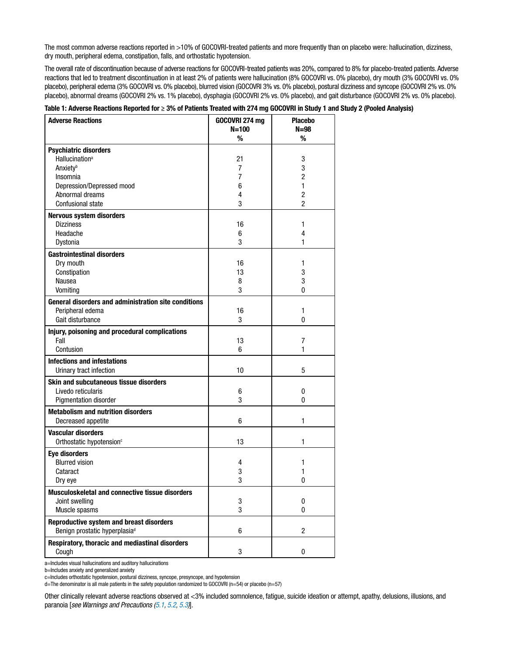The most common adverse reactions reported in >10% of GOCOVRI-treated patients and more frequently than on placebo were: hallucination, dizziness, dry mouth, peripheral edema, constipation, falls, and orthostatic hypotension.

The overall rate of discontinuation because of adverse reactions for GOCOVRI-treated patients was 20%, compared to 8% for placebo-treated patients. Adverse reactions that led to treatment discontinuation in at least 2% of patients were hallucination (8% GOCOVRI vs. 0% placebo), dry mouth (3% GOCOVRI vs. 0% placebo), peripheral edema (3% GOCOVRI vs. 0% placebo), blurred vision (GOCOVRI 3% vs. 0% placebo), postural dizziness and syncope (GOCOVRI 2% vs. 0% placebo), abnormal dreams (GOCOVRI 2% vs. 1% placebo), dysphagia (GOCOVRI 2% vs. 0% placebo), and gait disturbance (GOCOVRI 2% vs. 0% placebo).

| <b>Adverse Reactions</b>                                    | GOCOVRI 274 mg<br>$N = 100$ | <b>Placebo</b><br>$N = 98$ |
|-------------------------------------------------------------|-----------------------------|----------------------------|
|                                                             | %                           | %                          |
| <b>Psychiatric disorders</b>                                |                             |                            |
| <b>Hallucination</b> <sup>a</sup>                           | 21                          | 3                          |
| <b>Anxiety</b> <sup>b</sup>                                 | 7                           | 3                          |
| Insomnia                                                    | 7                           | $\overline{c}$             |
| Depression/Depressed mood                                   | 6                           | 1                          |
| Abnormal dreams                                             | 4                           | $\overline{2}$             |
| <b>Confusional state</b>                                    | 3                           | 2                          |
| Nervous system disorders                                    |                             |                            |
| <b>Dizziness</b>                                            | 16                          | 1                          |
| Headache                                                    | 6                           | 4                          |
| Dystonia                                                    | 3                           | 1                          |
|                                                             |                             |                            |
| <b>Gastrointestinal disorders</b><br>Dry mouth              | 16                          | 1                          |
| Constipation                                                | 13                          | 3                          |
| Nausea                                                      | 8                           | 3                          |
| Vomiting                                                    | 3                           | 0                          |
|                                                             |                             |                            |
| <b>General disorders and administration site conditions</b> |                             |                            |
| Peripheral edema                                            | 16                          | 1                          |
| Gait disturbance                                            | 3                           | 0                          |
| Injury, poisoning and procedural complications              |                             |                            |
| Fall                                                        | 13                          | 7                          |
| Contusion                                                   | 6                           | 1                          |
| <b>Infections and infestations</b>                          |                             |                            |
| Urinary tract infection                                     | 10                          | 5                          |
| Skin and subcutaneous tissue disorders                      |                             |                            |
| Livedo reticularis                                          | 6                           | 0                          |
| Pigmentation disorder                                       | 3                           | 0                          |
| <b>Metabolism and nutrition disorders</b>                   |                             |                            |
| Decreased appetite                                          | 6                           | 1                          |
| <b>Vascular disorders</b>                                   |                             |                            |
| Orthostatic hypotension <sup>c</sup>                        | 13                          | 1                          |
| <b>Eye disorders</b>                                        |                             |                            |
| <b>Blurred vision</b>                                       | 4                           | 1                          |
| Cataract                                                    | 3                           | 1                          |
| Dry eye                                                     | 3                           | 0                          |
| Musculoskeletal and connective tissue disorders             |                             |                            |
|                                                             |                             |                            |
| Joint swelling<br>Muscle spasms                             | 3<br>3                      | 0<br>0                     |
|                                                             |                             |                            |
| Reproductive system and breast disorders                    |                             |                            |
| Benign prostatic hyperplasia <sup>d</sup>                   | 6                           | $\overline{2}$             |
| Respiratory, thoracic and mediastinal disorders             |                             |                            |
| Cough                                                       | $\sqrt{3}$                  | 0                          |

# Table 1: Adverse Reactions Reported for ≥ 3% of Patients Treated with 274 mg GOCOVRI in Study 1 and Study 2 (Pooled Analysis)

a=Includes visual hallucinations and auditory hallucinations

c=Includes orthostatic hypotension, postural dizziness, syncope, presyncope, and hypotension

d=The denominator is all male patients in the safety population randomized to GOCOVRI (n=54) or placebo (n=57)

Other clinically relevant adverse reactions observed at <3% included somnolence, fatigue, suicide ideation or attempt, apathy, delusions, illusions, and paranoia [*see Warnings and Precautions [\(5.1, 5.2](#page-2-0), [5.3](#page-2-0))*].

b=Includes anxiety and generalized anxiety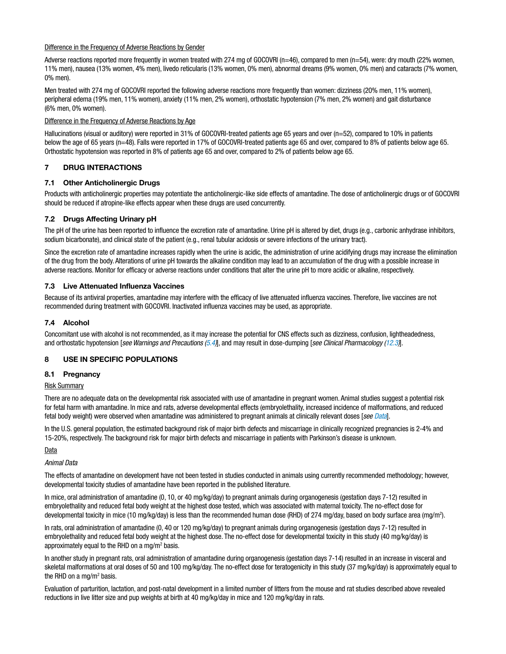# <span id="page-4-0"></span>Difference in the Frequency of Adverse Reactions by Gender

Adverse reactions reported more frequently in women treated with 274 mg of GOCOVRI (n=46), compared to men (n=54), were: dry mouth (22% women, 11% men), nausea (13% women, 4% men), livedo reticularis (13% women, 0% men), abnormal dreams (9% women, 0% men) and cataracts (7% women, 0% men).

Men treated with 274 mg of GOCOVRI reported the following adverse reactions more frequently than women: dizziness (20% men, 11% women), peripheral edema (19% men, 11% women), anxiety (11% men, 2% women), orthostatic hypotension (7% men, 2% women) and gait disturbance (6% men, 0% women).

# Difference in the Frequency of Adverse Reactions by Age

Hallucinations (visual or auditory) were reported in 31% of GOCOVRI-treated patients age 65 years and over (n=52), compared to 10% in patients below the age of 65 years (n=48). Falls were reported in 17% of GOCOVRI-treated patients age 65 and over, compared to 8% of patients below age 65. Orthostatic hypotension was reported in 8% of patients age 65 and over, compared to 2% of patients below age 65.

# 7 DRUG INTERACTIONS

# 7.1 Other Anticholinergic Drugs

Products with anticholinergic properties may potentiate the anticholinergic-like side effects of amantadine. The dose of anticholinergic drugs or of GOCOVRI should be reduced if atropine-like effects appear when these drugs are used concurrently.

# 7.2 Drugs Affecting Urinary pH

The pH of the urine has been reported to influence the excretion rate of amantadine. Urine pH is altered by diet, drugs (e.g., carbonic anhydrase inhibitors, sodium bicarbonate), and clinical state of the patient (e.g., renal tubular acidosis or severe infections of the urinary tract).

Since the excretion rate of amantadine increases rapidly when the urine is acidic, the administration of urine acidifying drugs may increase the elimination of the drug from the body. Alterations of urine pH towards the alkaline condition may lead to an accumulation of the drug with a possible increase in adverse reactions. Monitor for efficacy or adverse reactions under conditions that alter the urine pH to more acidic or alkaline, respectively.

# 7.3 Live Attenuated Influenza Vaccines

Because of its antiviral properties, amantadine may interfere with the efficacy of live attenuated influenza vaccines. Therefore, live vaccines are not recommended during treatment with GOCOVRI. Inactivated influenza vaccines may be used, as appropriate.

# 7.4 Alcohol

Concomitant use with alcohol is not recommended, as it may increase the potential for CNS effects such as dizziness, confusion, lightheadedness, and orthostatic hypotension [*see Warnings and Precautions ([5.4](#page-2-0))*], and may result in dose-dumping [*see Clinical Pharmacology [\(12.3\)](#page-6-0)*].

#### 8 USE IN SPECIFIC POPULATIONS

#### 8.1 Pregnancy

#### Risk Summary

There are no adequate data on the developmental risk associated with use of amantadine in pregnant women. Animal studies suggest a potential risk for fetal harm with amantadine. In mice and rats, adverse developmental effects (embryolethality, increased incidence of malformations, and reduced fetal body weight) were observed when amantadine was administered to pregnant animals at clinically relevant doses [*see Data*].

In the U.S. general population, the estimated background risk of major birth defects and miscarriage in clinically recognized pregnancies is 2-4% and 15-20%, respectively. The background risk for major birth defects and miscarriage in patients with Parkinson's disease is unknown.

#### **Data**

### *Animal Data*

The effects of amantadine on development have not been tested in studies conducted in animals using currently recommended methodology; however, developmental toxicity studies of amantadine have been reported in the published literature.

In mice, oral administration of amantadine (0, 10, or 40 mg/kg/day) to pregnant animals during organogenesis (gestation days 7-12) resulted in embryolethality and reduced fetal body weight at the highest dose tested, which was associated with maternal toxicity. The no-effect dose for developmental toxicity in mice (10 mg/kg/day) is less than the recommended human dose (RHD) of 274 mg/day, based on body surface area (mg/m2 ).

In rats, oral administration of amantadine (0, 40 or 120 mg/kg/day) to pregnant animals during organogenesis (gestation days 7-12) resulted in embryolethality and reduced fetal body weight at the highest dose. The no-effect dose for developmental toxicity in this study (40 mg/kg/day) is approximately equal to the RHD on a mg/m<sup>2</sup> basis.

In another study in pregnant rats, oral administration of amantadine during organogenesis (gestation days 7-14) resulted in an increase in visceral and skeletal malformations at oral doses of 50 and 100 mg/kg/day. The no-effect dose for teratogenicity in this study (37 mg/kg/day) is approximately equal to the RHD on a mg/m<sup>2</sup> basis.

Evaluation of parturition, lactation, and post-natal development in a limited number of litters from the mouse and rat studies described above revealed reductions in live litter size and pup weights at birth at 40 mg/kg/day in mice and 120 mg/kg/day in rats.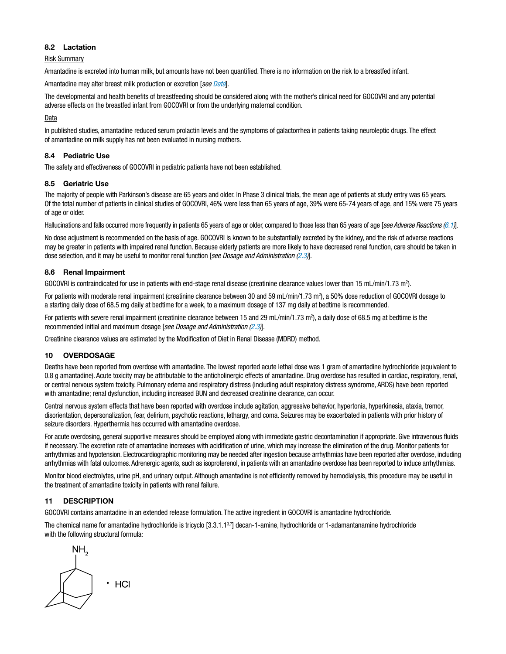# <span id="page-5-0"></span>8.2 Lactation

# Risk Summary

Amantadine is excreted into human milk, but amounts have not been quantified. There is no information on the risk to a breastfed infant.

Amantadine may alter breast milk production or excretion [*see Data*].

The developmental and health benefits of breastfeeding should be considered along with the mother's clinical need for GOCOVRI and any potential adverse effects on the breastfed infant from GOCOVRI or from the underlying maternal condition.

**Data** 

In published studies, amantadine reduced serum prolactin levels and the symptoms of galactorrhea in patients taking neuroleptic drugs. The effect of amantadine on milk supply has not been evaluated in nursing mothers.

# 8.4 Pediatric Use

The safety and effectiveness of GOCOVRI in pediatric patients have not been established.

# 8.5 Geriatric Use

The majority of people with Parkinson's disease are 65 years and older. In Phase 3 clinical trials, the mean age of patients at study entry was 65 years. Of the total number of patients in clinical studies of GOCOVRI, 46% were less than 65 years of age, 39% were 65-74 years of age, and 15% were 75 years of age or older.

Hallucinations and falls occurred more frequently in patients 65 years of age or older, compared to those less than 65 years of age [*see Adverse Reactions [\(6.1\)](#page-2-0)*].

No dose adjustment is recommended on the basis of age. GOCOVRI is known to be substantially excreted by the kidney, and the risk of adverse reactions may be greater in patients with impaired renal function. Because elderly patients are more likely to have decreased renal function, care should be taken in dose selection, and it may be useful to monitor renal function [*see Dosage and Administration ([2.3](#page-1-0))*].

# 8.6 Renal Impairment

GOCOVRI is contraindicated for use in patients with end-stage renal disease (creatinine clearance values lower than 15 mL/min/1.73 m<sup>2</sup>).

For patients with moderate renal impairment (creatinine clearance between 30 and 59 mL/min/1.73 m<sup>2</sup>), a 50% dose reduction of GOCOVRI dosage to a starting daily dose of 68.5 mg daily at bedtime for a week, to a maximum dosage of 137 mg daily at bedtime is recommended.

For patients with severe renal impairment (creatinine clearance between 15 and 29 mL/min/1.73 m<sup>2</sup>), a daily dose of 68.5 mg at bedtime is the recommended initial and maximum dosage [*see Dosage and Administration ([2.3](#page-1-0))*].

Creatinine clearance values are estimated by the Modification of Diet in Renal Disease (MDRD) method.

# 10 OVERDOSAGE

Deaths have been reported from overdose with amantadine. The lowest reported acute lethal dose was 1 gram of amantadine hydrochloride (equivalent to 0.8 g amantadine). Acute toxicity may be attributable to the anticholinergic effects of amantadine. Drug overdose has resulted in cardiac, respiratory, renal, or central nervous system toxicity. Pulmonary edema and respiratory distress (including adult respiratory distress syndrome, ARDS) have been reported with amantadine; renal dysfunction, including increased BUN and decreased creatinine clearance, can occur.

Central nervous system effects that have been reported with overdose include agitation, aggressive behavior, hypertonia, hyperkinesia, ataxia, tremor, disorientation, depersonalization, fear, delirium, psychotic reactions, lethargy, and coma. Seizures may be exacerbated in patients with prior history of seizure disorders. Hyperthermia has occurred with amantadine overdose.

For acute overdosing, general supportive measures should be employed along with immediate gastric decontamination if appropriate. Give intravenous fluids if necessary. The excretion rate of amantadine increases with acidification of urine, which may increase the elimination of the drug. Monitor patients for arrhythmias and hypotension. Electrocardiographic monitoring may be needed after ingestion because arrhythmias have been reported after overdose, including arrhythmias with fatal outcomes. Adrenergic agents, such as isoproterenol, in patients with an amantadine overdose has been reported to induce arrhythmias.

Monitor blood electrolytes, urine pH, and urinary output. Although amantadine is not efficiently removed by hemodialysis, this procedure may be useful in the treatment of amantadine toxicity in patients with renal failure.

# 11 DESCRIPTION

GOCOVRI contains amantadine in an extended release formulation. The active ingredient in GOCOVRI is amantadine hydrochloride.

The chemical name for amantadine hydrochloride is tricyclo [3.3.1.13,7] decan-1-amine, hydrochloride or 1-adamantanamine hydrochloride with the following structural formula:

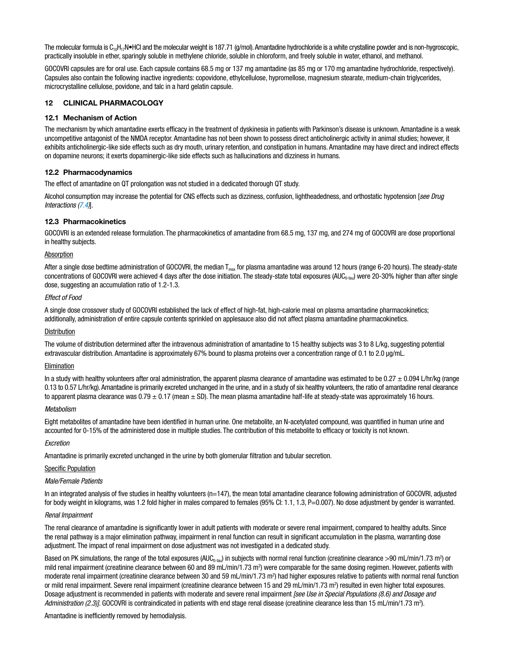<span id="page-6-0"></span>The molecular formula is C<sub>10</sub>H<sub>17</sub>N•HCl and the molecular weight is 187.71 (g/mol). Amantadine hydrochloride is a white crystalline powder and is non-hygroscopic, practically insoluble in ether, sparingly soluble in methylene chloride, soluble in chloroform, and freely soluble in water, ethanol, and methanol.

GOCOVRI capsules are for oral use. Each capsule contains 68.5 mg or 137 mg amantadine (as 85 mg or 170 mg amantadine hydrochloride, respectively). Capsules also contain the following inactive ingredients: copovidone, ethylcellulose, hypromellose, magnesium stearate, medium-chain triglycerides, microcrystalline cellulose, povidone, and talc in a hard gelatin capsule.

# 12 CLINICAL PHARMACOLOGY

# 12.1 Mechanism of Action

The mechanism by which amantadine exerts efficacy in the treatment of dyskinesia in patients with Parkinson's disease is unknown. Amantadine is a weak uncompetitive antagonist of the NMDA receptor. Amantadine has not been shown to possess direct anticholinergic activity in animal studies; however, it exhibits anticholinergic-like side effects such as dry mouth, urinary retention, and constipation in humans. Amantadine may have direct and indirect effects on dopamine neurons; it exerts dopaminergic-like side effects such as hallucinations and dizziness in humans.

# 12.2 Pharmacodynamics

The effect of amantadine on QT prolongation was not studied in a dedicated thorough QT study.

Alcohol consumption may increase the potential for CNS effects such as dizziness, confusion, lightheadedness, and orthostatic hypotension [*see Drug Interactions ([7.4](#page-4-0))*].

# 12.3 Pharmacokinetics

GOCOVRI is an extended release formulation. The pharmacokinetics of amantadine from 68.5 mg, 137 mg, and 274 mg of GOCOVRI are dose proportional in healthy subjects.

#### Absorption

After a single dose bedtime administration of GOCOVRI, the median  $T_{\text{max}}$  for plasma amantadine was around 12 hours (range 6-20 hours). The steady-state concentrations of GOCOVRI were achieved 4 days after the dose initiation. The steady-state total exposures  $(AUC_{0-ta}u)$  were 20-30% higher than after single dose, suggesting an accumulation ratio of 1.2-1.3.

#### *Effect of Food*

A single dose crossover study of GOCOVRI established the lack of effect of high-fat, high-calorie meal on plasma amantadine pharmacokinetics; additionally, administration of entire capsule contents sprinkled on applesauce also did not affect plasma amantadine pharmacokinetics.

#### **Distribution**

The volume of distribution determined after the intravenous administration of amantadine to 15 healthy subjects was 3 to 8 L/kg, suggesting potential extravascular distribution. Amantadine is approximately 67% bound to plasma proteins over a concentration range of 0.1 to 2.0 µg/mL.

#### Elimination

In a study with healthy volunteers after oral administration, the apparent plasma clearance of amantadine was estimated to be  $0.27 \pm 0.094$  L/hr/kg (range 0.13 to 0.57 L/hr/kg). Amantadine is primarily excreted unchanged in the urine, and in a study of six healthy volunteers, the ratio of amantadine renal clearance to apparent plasma clearance was  $0.79 \pm 0.17$  (mean  $\pm$  SD). The mean plasma amantadine half-life at steady-state was approximately 16 hours.

#### *Metabolism*

Eight metabolites of amantadine have been identified in human urine. One metabolite, an N-acetylated compound, was quantified in human urine and accounted for 0-15% of the administered dose in multiple studies. The contribution of this metabolite to efficacy or toxicity is not known.

#### *Excretion*

Amantadine is primarily excreted unchanged in the urine by both glomerular filtration and tubular secretion.

#### Specific Population

### *Male/Female Patients*

In an integrated analysis of five studies in healthy volunteers (n=147), the mean total amantadine clearance following administration of GOCOVRI, adjusted for body weight in kilograms, was 1.2 fold higher in males compared to females (95% CI: 1.1, 1.3, P=0.007). No dose adjustment by gender is warranted.

#### *Renal Impairment*

The renal clearance of amantadine is significantly lower in adult patients with moderate or severe renal impairment, compared to healthy adults. Since the renal pathway is a major elimination pathway, impairment in renal function can result in significant accumulation in the plasma, warranting dose adjustment. The impact of renal impairment on dose adjustment was not investigated in a dedicated study.

Based on PK simulations, the range of the total exposures (AUC<sub>0-tau</sub>) in subjects with normal renal function (creatinine clearance >90 mL/min/1.73 m<sup>2</sup>) or mild renal impairment (creatinine clearance between 60 and 89 mL/min/1.73 m<sup>2</sup>) were comparable for the same dosing regimen. However, patients with moderate renal impairment (creatinine clearance between 30 and 59 mL/min/1.73 m<sup>2</sup>) had higher exposures relative to patients with normal renal function or mild renal impairment. Severe renal impairment (creatinine clearance between 15 and 29 mL/min/1.73 m<sup>2</sup>) resulted in even higher total exposures. Dosage adjustment is recommended in patients with moderate and severe renal impairment *[see Use in Special Populations (8.6) and Dosage and*  Administration (2.3)]. GOCOVRI is contraindicated in patients with end stage renal disease (creatinine clearance less than 15 mL/min/1.73 m<sup>2</sup>).

Amantadine is inefficiently removed by hemodialysis.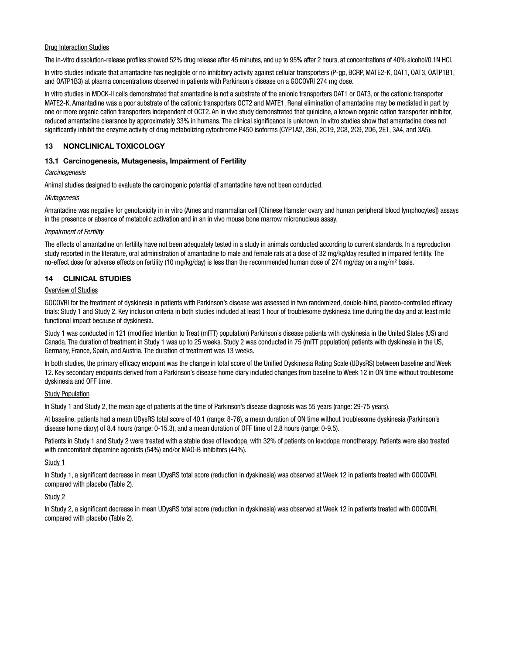#### <span id="page-7-0"></span>Drug Interaction Studies

The in-vitro dissolution-release profiles showed 52% drug release after 45 minutes, and up to 95% after 2 hours, at concentrations of 40% alcohol/0.1N HCl.

In vitro studies indicate that amantadine has negligible or no inhibitory activity against cellular transporters (P-gp, BCRP, MATE2-K, OAT1, OAT3, OATP1B1, and OATP1B3) at plasma concentrations observed in patients with Parkinson's disease on a GOCOVRI 274 mg dose.

In vitro studies in MDCK-II cells demonstrated that amantadine is not a substrate of the anionic transporters OAT1 or OAT3, or the cationic transporter MATE2-K. Amantadine was a poor substrate of the cationic transporters OCT2 and MATE1. Renal elimination of amantadine may be mediated in part by one or more organic cation transporters independent of OCT2. An in vivo study demonstrated that quinidine, a known organic cation transporter inhibitor, reduced amantadine clearance by approximately 33% in humans. The clinical significance is unknown. In vitro studies show that amantadine does not significantly inhibit the enzyme activity of drug metabolizing cytochrome P450 isoforms (CYP1A2, 2B6, 2C19, 2C8, 2C9, 2D6, 2E1, 3A4, and 3A5).

# 13 NONCLINICAL TOXICOLOGY

# 13.1 Carcinogenesis, Mutagenesis, Impairment of Fertility

#### *Carcinogenesis*

Animal studies designed to evaluate the carcinogenic potential of amantadine have not been conducted.

# *Mutagenesis*

Amantadine was negative for genotoxicity in in vitro (Ames and mammalian cell [Chinese Hamster ovary and human peripheral blood lymphocytes]) assays in the presence or absence of metabolic activation and in an in vivo mouse bone marrow micronucleus assay.

# *Impairment of Fertility*

The effects of amantadine on fertility have not been adequately tested in a study in animals conducted according to current standards. In a reproduction study reported in the literature, oral administration of amantadine to male and female rats at a dose of 32 mg/kg/day resulted in impaired fertility. The no-effect dose for adverse effects on fertility (10 mg/kg/day) is less than the recommended human dose of 274 mg/day on a mg/m<sup>2</sup> basis.

# 14 CLINICAL STUDIES

# Overview of Studies

GOCOVRI for the treatment of dyskinesia in patients with Parkinson's disease was assessed in two randomized, double-blind, placebo-controlled efficacy trials: Study 1 and Study 2. Key inclusion criteria in both studies included at least 1 hour of troublesome dyskinesia time during the day and at least mild functional impact because of dyskinesia.

Study 1 was conducted in 121 (modified Intention to Treat (mITT) population) Parkinson's disease patients with dyskinesia in the United States (US) and Canada. The duration of treatment in Study 1 was up to 25 weeks. Study 2 was conducted in 75 (mITT population) patients with dyskinesia in the US, Germany, France, Spain, and Austria. The duration of treatment was 13 weeks.

In both studies, the primary efficacy endpoint was the change in total score of the Unified Dyskinesia Rating Scale (UDysRS) between baseline and Week 12. Key secondary endpoints derived from a Parkinson's disease home diary included changes from baseline to Week 12 in ON time without troublesome dyskinesia and OFF time.

# Study Population

In Study 1 and Study 2, the mean age of patients at the time of Parkinson's disease diagnosis was 55 years (range: 29-75 years).

At baseline, patients had a mean UDysRS total score of 40.1 (range: 8-76), a mean duration of ON time without troublesome dyskinesia (Parkinson's disease home diary) of 8.4 hours (range: 0-15.3), and a mean duration of OFF time of 2.8 hours (range: 0-9.5).

Patients in Study 1 and Study 2 were treated with a stable dose of levodopa, with 32% of patients on levodopa monotherapy. Patients were also treated with concomitant dopamine agonists (54%) and/or MAO-B inhibitors (44%).

# Study 1

In Study 1, a significant decrease in mean UDysRS total score (reduction in dyskinesia) was observed at Week 12 in patients treated with GOCOVRI, compared with placebo (Table 2).

# Study 2

In Study 2, a significant decrease in mean UDysRS total score (reduction in dyskinesia) was observed at Week 12 in patients treated with GOCOVRI, compared with placebo (Table 2).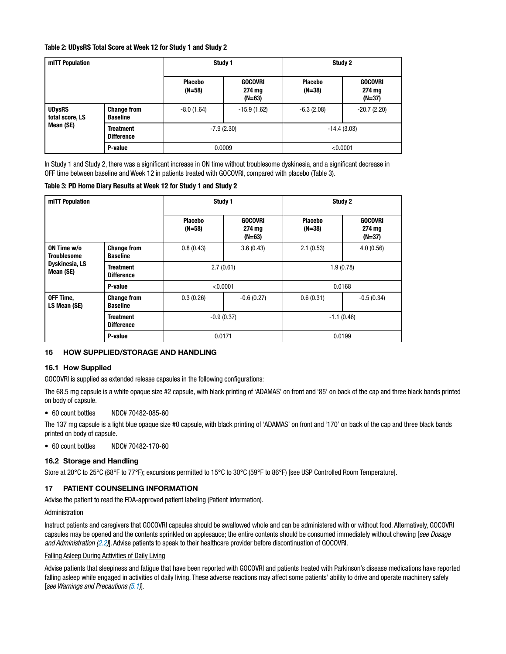# <span id="page-8-0"></span>Table 2: UDysRS Total Score at Week 12 for Study 1 and Study 2

| mITT Population                               |                                       | Study 1                    |                                    | Study 2                    |                                      |
|-----------------------------------------------|---------------------------------------|----------------------------|------------------------------------|----------------------------|--------------------------------------|
|                                               |                                       | <b>Placebo</b><br>$(N=58)$ | <b>GOCOVRI</b><br>274 mg<br>(N=63) | <b>Placebo</b><br>$(N=38)$ | <b>GOCOVRI</b><br>274 mg<br>$(N=37)$ |
| <b>UDysRS</b><br>total score, LS<br>Mean (SE) | <b>Change from</b><br><b>Baseline</b> | $-8.0(1.64)$               | $-15.9(1.62)$                      | $-6.3(2.08)$               | $-20.7(2.20)$                        |
|                                               | <b>Treatment</b><br><b>Difference</b> | $-7.9(2.30)$               |                                    | $-14.4(3.03)$              |                                      |
|                                               | P-value                               | 0.0009                     |                                    | < 0.0001                   |                                      |

In Study 1 and Study 2, there was a significant increase in ON time without troublesome dyskinesia, and a significant decrease in OFF time between baseline and Week 12 in patients treated with GOCOVRI, compared with placebo (Table 3).

# Table 3: PD Home Diary Results at Week 12 for Study 1 and Study 2

| mITT Population                                                  |                                       | Study 1                  |                                      | Study 2                  |                                      |
|------------------------------------------------------------------|---------------------------------------|--------------------------|--------------------------------------|--------------------------|--------------------------------------|
|                                                                  |                                       | <b>Placebo</b><br>(N=58) | <b>GOCOVRI</b><br>274 mg<br>$(N=63)$ | <b>Placebo</b><br>(N=38) | <b>GOCOVRI</b><br>274 mg<br>$(N=37)$ |
| ON Time w/o<br><b>Troublesome</b><br>Dyskinesia, LS<br>Mean (SE) | <b>Change from</b><br><b>Baseline</b> | 0.8(0.43)                | 3.6(0.43)                            | 2.1(0.53)                | 4.0(0.56)                            |
|                                                                  | <b>Treatment</b><br><b>Difference</b> | 2.7(0.61)                |                                      | 1.9(0.78)                |                                      |
|                                                                  | P-value                               | < 0.0001                 |                                      | 0.0168                   |                                      |
| OFF Time,<br>LS Mean (SE)                                        | <b>Change from</b><br><b>Baseline</b> | 0.3(0.26)                | $-0.6(0.27)$                         | 0.6(0.31)                | $-0.5(0.34)$                         |
|                                                                  | <b>Treatment</b><br><b>Difference</b> | $-0.9(0.37)$             |                                      | $-1.1(0.46)$             |                                      |
|                                                                  | P-value                               | 0.0171                   |                                      | 0.0199                   |                                      |

# 16 HOW SUPPLIED/STORAGE AND HANDLING

# 16.1 How Supplied

GOCOVRI is supplied as extended release capsules in the following configurations:

The 68.5 mg capsule is a white opaque size #2 capsule, with black printing of 'ADAMAS' on front and '85' on back of the cap and three black bands printed on body of capsule.

#### • 60 count bottles NDC# 70482-085-60

The 137 mg capsule is a light blue opaque size #0 capsule, with black printing of 'ADAMAS' on front and '170' on back of the cap and three black bands printed on body of capsule.

• 60 count bottles NDC# 70482-170-60

# 16.2 Storage and Handling

Store at 20°C to 25°C (68°F to 77°F); excursions permitted to 15°C to 30°C (59°F to 86°F) [see USP Controlled Room Temperature].

# 17 PATIENT COUNSELING INFORMATION

Advise the patient to read the FDA-approved patient labeling (Patient Information).

# Administration

Instruct patients and caregivers that GOCOVRI capsules should be swallowed whole and can be administered with or without food. Alternatively, GOCOVRI capsules may be opened and the contents sprinkled on applesauce; the entire contents should be consumed immediately without chewing [*see Dosage and Administration ([2.2](#page-1-0))*]. Advise patients to speak to their healthcare provider before discontinuation of GOCOVRI.

# Falling Asleep During Activities of Daily Living

Advise patients that sleepiness and fatigue that have been reported with GOCOVRI and patients treated with Parkinson's disease medications have reported falling asleep while engaged in activities of daily living. These adverse reactions may affect some patients' ability to drive and operate machinery safely [*see Warnings and Precautions [\(5.1\)](#page-1-0)*].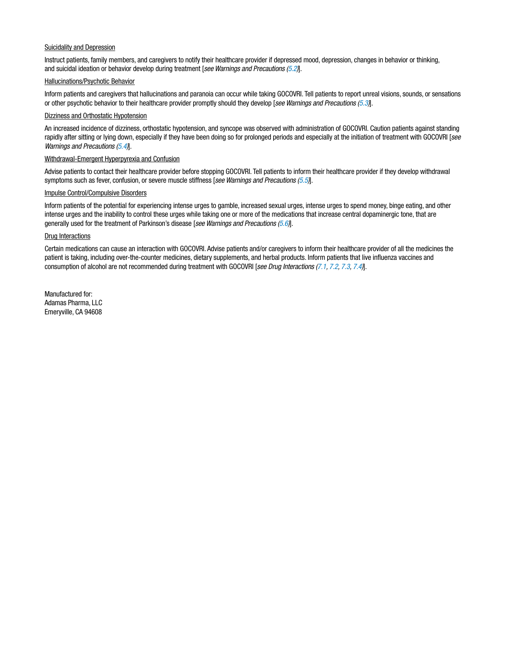### Suicidality and Depression

Instruct patients, family members, and caregivers to notify their healthcare provider if depressed mood, depression, changes in behavior or thinking, and suicidal ideation or behavior develop during treatment [*see Warnings and Precautions ([5.2](#page-2-0))*].

#### Hallucinations/Psychotic Behavior

Inform patients and caregivers that hallucinations and paranoia can occur while taking GOCOVRI. Tell patients to report unreal visions, sounds, or sensations or other psychotic behavior to their healthcare provider promptly should they develop [*see Warnings and Precautions ([5.3](#page-2-0))*].

#### Dizziness and Orthostatic Hypotension

An increased incidence of dizziness, orthostatic hypotension, and syncope was observed with administration of GOCOVRI. Caution patients against standing rapidly after sitting or lying down, especially if they have been doing so for prolonged periods and especially at the initiation of treatment with GOCOVRI [*see Warnings and Precautions ([5.4](#page-2-0))*].

# Withdrawal-Emergent Hyperpyrexia and Confusion

Advise patients to contact their healthcare provider before stopping GOCOVRI. Tell patients to inform their healthcare provider if they develop withdrawal symptoms such as fever, confusion, or severe muscle stiffness [*see Warnings and Precautions [\(5.5\)](#page-2-0)*].

#### Impulse Control/Compulsive Disorders

Inform patients of the potential for experiencing intense urges to gamble, increased sexual urges, intense urges to spend money, binge eating, and other intense urges and the inability to control these urges while taking one or more of the medications that increase central dopaminergic tone, that are generally used for the treatment of Parkinson's disease [*see Warnings and Precautions [\(5.6\)](#page-2-0)*].

# Drug Interactions

Certain medications can cause an interaction with GOCOVRI. Advise patients and/or caregivers to inform their healthcare provider of all the medicines the patient is taking, including over-the-counter medicines, dietary supplements, and herbal products. Inform patients that live influenza vaccines and consumption of alcohol are not recommended during treatment with GOCOVRI [*see Drug Interactions [\(7.1,](#page-4-0) [7.2](#page-4-0), [7.3](#page-4-0), [7.4\)](#page-4-0)*].

Manufactured for: Adamas Pharma, LLC Emeryville, CA 94608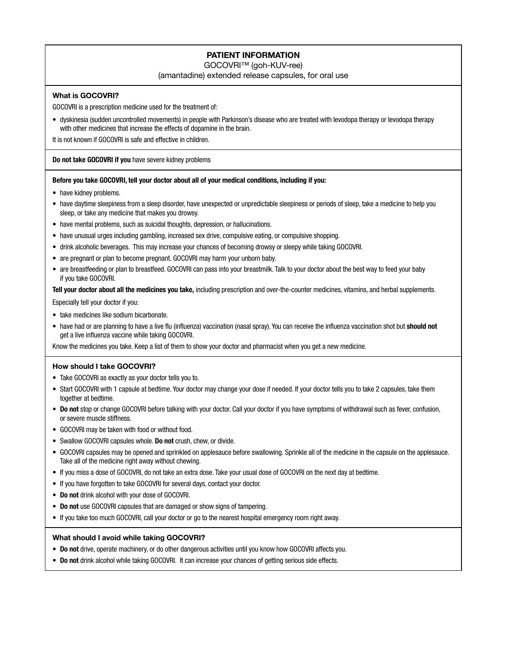# PATIENT INFORMATION

GOCOVRI™ (goh-KUV-ree)

(amantadine) extended release capsules, for oral use

# What is GOCOVRI?

GOCOVRI is a prescription medicine used for the treatment of:

• dyskinesia (sudden uncontrolled movements) in people with Parkinson's disease who are treated with levodopa therapy or levodopa therapy with other medicines that increase the effects of dopamine in the brain.

It is not known if GOCOVRI is safe and effective in children.

# Do not take GOCOVRI if you have severe kidney problems

# Before you take GOCOVRI, tell your doctor about all of your medical conditions, including if you:

- have kidney problems.
- have daytime sleepiness from a sleep disorder, have unexpected or unpredictable sleepiness or periods of sleep, take a medicine to help you sleep, or take any medicine that makes you drowsy.
- have mental problems, such as suicidal thoughts, depression, or hallucinations.
- have unusual urges including gambling, increased sex drive, compulsive eating, or compulsive shopping.
- drink alcoholic beverages. This may increase your chances of becoming drowsy or sleepy while taking GOCOVRI.
- are pregnant or plan to become pregnant. GOCOVRI may harm your unborn baby.
- are breastfeeding or plan to breastfeed. GOCOVRI can pass into your breastmilk. Talk to your doctor about the best way to feed your baby if you take GOCOVRI.

Tell your doctor about all the medicines you take, including prescription and over-the-counter medicines, vitamins, and herbal supplements.

Especially tell your doctor if you:

- take medicines like sodium bicarbonate.
- have had or are planning to have a live flu (influenza) vaccination (nasal spray). You can receive the influenza vaccination shot but should not get a live influenza vaccine while taking GOCOVRI.

Know the medicines you take. Keep a list of them to show your doctor and pharmacist when you get a new medicine.

# How should I take GOCOVRI?

- Take GOCOVRI as exactly as your doctor tells you to.
- Start GOCOVRI with 1 capsule at bedtime. Your doctor may change your dose if needed. If your doctor tells you to take 2 capsules, take them together at bedtime.
- Do not stop or change GOCOVRI before talking with your doctor. Call your doctor if you have symptoms of withdrawal such as fever, confusion, or severe muscle stiffness.
- GOCOVRI may be taken with food or without food.
- Swallow GOCOVRI capsules whole. Do not crush, chew, or divide.
- GOCOVRI capsules may be opened and sprinkled on applesauce before swallowing. Sprinkle all of the medicine in the capsule on the applesauce. Take all of the medicine right away without chewing.
- If you miss a dose of GOCOVRI, do not take an extra dose. Take your usual dose of GOCOVRI on the next day at bedtime.
- If you have forgotten to take GOCOVRI for several days, contact your doctor.
- Do not drink alcohol with your dose of GOCOVRI.
- Do not use GOCOVRI capsules that are damaged or show signs of tampering.
- If you take too much GOCOVRI, call your doctor or go to the nearest hospital emergency room right away.

# What should I avoid while taking GOCOVRI?

- Do not drive, operate machinery, or do other dangerous activities until you know how GOCOVRI affects you.
- Do not drink alcohol while taking GOCOVRI. It can increase your chances of getting serious side effects.